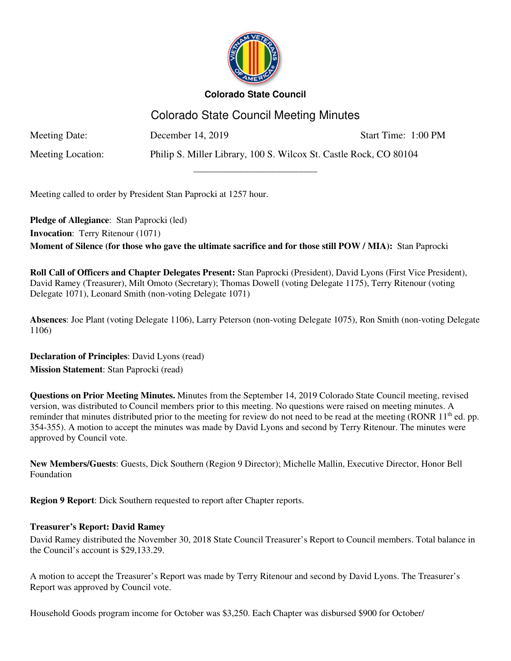

# Colorado State Council Meeting Minutes

\_\_\_\_\_\_\_\_\_\_\_\_\_\_\_\_\_\_\_\_\_\_\_\_\_\_\_

Meeting Date: December 14, 2019 Start Time: 1:00 PM

Meeting Location: Philip S. Miller Library, 100 S. Wilcox St. Castle Rock, CO 80104

Meeting called to order by President Stan Paprocki at 1257 hour.

**Pledge of Allegiance**: Stan Paprocki (led) **Invocation**: Terry Ritenour (1071) **Moment of Silence (for those who gave the ultimate sacrifice and for those still POW / MIA):** Stan Paprocki

**Roll Call of Officers and Chapter Delegates Present:** Stan Paprocki (President), David Lyons (First Vice President), David Ramey (Treasurer), Milt Omoto (Secretary); Thomas Dowell (voting Delegate 1175), Terry Ritenour (voting Delegate 1071), Leonard Smith (non-voting Delegate 1071)

**Absences**: Joe Plant (voting Delegate 1106), Larry Peterson (non-voting Delegate 1075), Ron Smith (non-voting Delegate 1106)

**Declaration of Principles**: David Lyons (read) **Mission Statement**: Stan Paprocki (read)

**Questions on Prior Meeting Minutes.** Minutes from the September 14, 2019 Colorado State Council meeting, revised version, was distributed to Council members prior to this meeting. No questions were raised on meeting minutes. A reminder that minutes distributed prior to the meeting for review do not need to be read at the meeting (RONR  $11<sup>th</sup>$  ed. pp. 354-355). A motion to accept the minutes was made by David Lyons and second by Terry Ritenour. The minutes were approved by Council vote.

**New Members/Guests**: Guests, Dick Southern (Region 9 Director); Michelle Mallin, Executive Director, Honor Bell Foundation

**Region 9 Report**: Dick Southern requested to report after Chapter reports.

### **Treasurer's Report: David Ramey**

David Ramey distributed the November 30, 2018 State Council Treasurer's Report to Council members. Total balance in the Council's account is \$29,133.29.

A motion to accept the Treasurer's Report was made by Terry Ritenour and second by David Lyons. The Treasurer's Report was approved by Council vote.

Household Goods program income for October was \$3,250. Each Chapter was disbursed \$900 for October/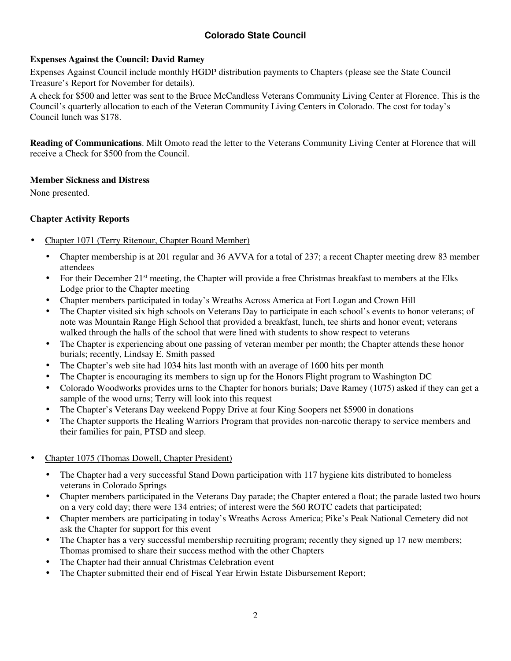### **Expenses Against the Council: David Ramey**

Expenses Against Council include monthly HGDP distribution payments to Chapters (please see the State Council Treasure's Report for November for details).

A check for \$500 and letter was sent to the Bruce McCandless Veterans Community Living Center at Florence. This is the Council's quarterly allocation to each of the Veteran Community Living Centers in Colorado. The cost for today's Council lunch was \$178.

**Reading of Communications**. Milt Omoto read the letter to the Veterans Community Living Center at Florence that will receive a Check for \$500 from the Council.

#### **Member Sickness and Distress**

None presented.

### **Chapter Activity Reports**

- Chapter 1071 (Terry Ritenour, Chapter Board Member)
	- Chapter membership is at 201 regular and 36 AVVA for a total of 237; a recent Chapter meeting drew 83 member attendees
	- For their December 21st meeting, the Chapter will provide a free Christmas breakfast to members at the Elks Lodge prior to the Chapter meeting
	- Chapter members participated in today's Wreaths Across America at Fort Logan and Crown Hill
	- The Chapter visited six high schools on Veterans Day to participate in each school's events to honor veterans; of note was Mountain Range High School that provided a breakfast, lunch, tee shirts and honor event; veterans walked through the halls of the school that were lined with students to show respect to veterans
	- The Chapter is experiencing about one passing of veteran member per month; the Chapter attends these honor burials; recently, Lindsay E. Smith passed
	- The Chapter's web site had 1034 hits last month with an average of 1600 hits per month
	- The Chapter is encouraging its members to sign up for the Honors Flight program to Washington DC
	- Colorado Woodworks provides urns to the Chapter for honors burials; Dave Ramey (1075) asked if they can get a sample of the wood urns; Terry will look into this request
	- The Chapter's Veterans Day weekend Poppy Drive at four King Soopers net \$5900 in donations
	- The Chapter supports the Healing Warriors Program that provides non-narcotic therapy to service members and their families for pain, PTSD and sleep.
- Chapter 1075 (Thomas Dowell, Chapter President)
	- The Chapter had a very successful Stand Down participation with 117 hygiene kits distributed to homeless veterans in Colorado Springs
	- Chapter members participated in the Veterans Day parade; the Chapter entered a float; the parade lasted two hours on a very cold day; there were 134 entries; of interest were the 560 ROTC cadets that participated;
	- Chapter members are participating in today's Wreaths Across America; Pike's Peak National Cemetery did not ask the Chapter for support for this event
	- The Chapter has a very successful membership recruiting program; recently they signed up 17 new members; Thomas promised to share their success method with the other Chapters
	- The Chapter had their annual Christmas Celebration event
	- The Chapter submitted their end of Fiscal Year Erwin Estate Disbursement Report;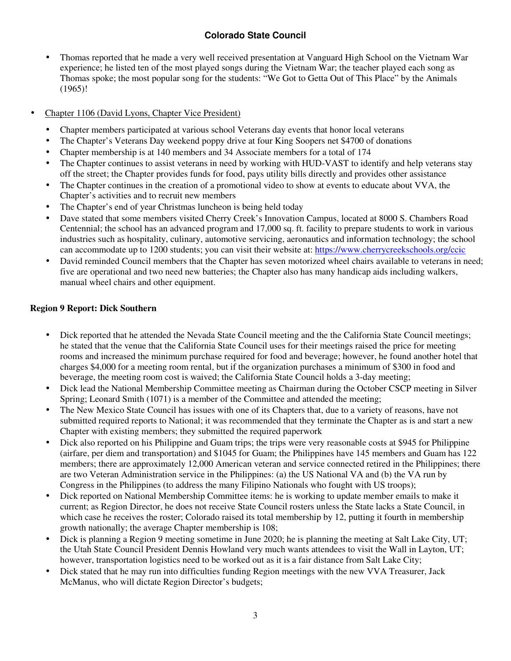- Thomas reported that he made a very well received presentation at Vanguard High School on the Vietnam War experience; he listed ten of the most played songs during the Vietnam War; the teacher played each song as Thomas spoke; the most popular song for the students: "We Got to Getta Out of This Place" by the Animals (1965)!
- Chapter 1106 (David Lyons, Chapter Vice President)
	- Chapter members participated at various school Veterans day events that honor local veterans
	- The Chapter's Veterans Day weekend poppy drive at four King Soopers net \$4700 of donations
	- Chapter membership is at 140 members and 34 Associate members for a total of 174
	- The Chapter continues to assist veterans in need by working with HUD-VAST to identify and help veterans stay off the street; the Chapter provides funds for food, pays utility bills directly and provides other assistance
	- The Chapter continues in the creation of a promotional video to show at events to educate about VVA, the Chapter's activities and to recruit new members
	- The Chapter's end of year Christmas luncheon is being held today
	- Dave stated that some members visited Cherry Creek's Innovation Campus, located at 8000 S. Chambers Road Centennial; the school has an advanced program and 17,000 sq. ft. facility to prepare students to work in various industries such as hospitality, culinary, automotive servicing, aeronautics and information technology; the school can accommodate up to 1200 students; you can visit their website at: https://www.cherrycreekschools.org/ccic
	- David reminded Council members that the Chapter has seven motorized wheel chairs available to veterans in need; five are operational and two need new batteries; the Chapter also has many handicap aids including walkers, manual wheel chairs and other equipment.

#### **Region 9 Report: Dick Southern**

- Dick reported that he attended the Nevada State Council meeting and the the California State Council meetings; he stated that the venue that the California State Council uses for their meetings raised the price for meeting rooms and increased the minimum purchase required for food and beverage; however, he found another hotel that charges \$4,000 for a meeting room rental, but if the organization purchases a minimum of \$300 in food and beverage, the meeting room cost is waived; the California State Council holds a 3-day meeting;
- Dick lead the National Membership Committee meeting as Chairman during the October CSCP meeting in Silver Spring; Leonard Smith (1071) is a member of the Committee and attended the meeting;
- The New Mexico State Council has issues with one of its Chapters that, due to a variety of reasons, have not submitted required reports to National; it was recommended that they terminate the Chapter as is and start a new Chapter with existing members; they submitted the required paperwork
- Dick also reported on his Philippine and Guam trips; the trips were very reasonable costs at \$945 for Philippine (airfare, per diem and transportation) and \$1045 for Guam; the Philippines have 145 members and Guam has 122 members; there are approximately 12,000 American veteran and service connected retired in the Philippines; there are two Veteran Administration service in the Philippines: (a) the US National VA and (b) the VA run by Congress in the Philippines (to address the many Filipino Nationals who fought with US troops);
- Dick reported on National Membership Committee items: he is working to update member emails to make it current; as Region Director, he does not receive State Council rosters unless the State lacks a State Council, in which case he receives the roster; Colorado raised its total membership by 12, putting it fourth in membership growth nationally; the average Chapter membership is 108;
- Dick is planning a Region 9 meeting sometime in June 2020; he is planning the meeting at Salt Lake City, UT; the Utah State Council President Dennis Howland very much wants attendees to visit the Wall in Layton, UT; however, transportation logistics need to be worked out as it is a fair distance from Salt Lake City;
- Dick stated that he may run into difficulties funding Region meetings with the new VVA Treasurer, Jack McManus, who will dictate Region Director's budgets;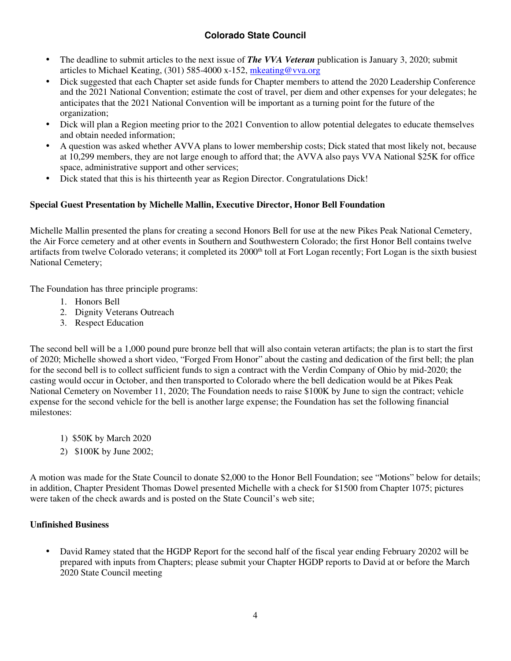- The deadline to submit articles to the next issue of *The VVA Veteran* publication is January 3, 2020; submit articles to Michael Keating, (301) 585-4000 x-152, mkeating@vva.org
- Dick suggested that each Chapter set aside funds for Chapter members to attend the 2020 Leadership Conference and the 2021 National Convention; estimate the cost of travel, per diem and other expenses for your delegates; he anticipates that the 2021 National Convention will be important as a turning point for the future of the organization;
- Dick will plan a Region meeting prior to the 2021 Convention to allow potential delegates to educate themselves and obtain needed information;
- A question was asked whether AVVA plans to lower membership costs; Dick stated that most likely not, because at 10,299 members, they are not large enough to afford that; the AVVA also pays VVA National \$25K for office space, administrative support and other services;
- Dick stated that this is his thirteenth year as Region Director. Congratulations Dick!

### **Special Guest Presentation by Michelle Mallin, Executive Director, Honor Bell Foundation**

Michelle Mallin presented the plans for creating a second Honors Bell for use at the new Pikes Peak National Cemetery, the Air Force cemetery and at other events in Southern and Southwestern Colorado; the first Honor Bell contains twelve artifacts from twelve Colorado veterans; it completed its 2000<sup>th</sup> toll at Fort Logan recently; Fort Logan is the sixth busiest National Cemetery;

The Foundation has three principle programs:

- 1. Honors Bell
- 2. Dignity Veterans Outreach
- 3. Respect Education

The second bell will be a 1,000 pound pure bronze bell that will also contain veteran artifacts; the plan is to start the first of 2020; Michelle showed a short video, "Forged From Honor" about the casting and dedication of the first bell; the plan for the second bell is to collect sufficient funds to sign a contract with the Verdin Company of Ohio by mid-2020; the casting would occur in October, and then transported to Colorado where the bell dedication would be at Pikes Peak National Cemetery on November 11, 2020; The Foundation needs to raise \$100K by June to sign the contract; vehicle expense for the second vehicle for the bell is another large expense; the Foundation has set the following financial milestones:

- 1) \$50K by March 2020
- 2) \$100K by June 2002;

A motion was made for the State Council to donate \$2,000 to the Honor Bell Foundation; see "Motions" below for details; in addition, Chapter President Thomas Dowel presented Michelle with a check for \$1500 from Chapter 1075; pictures were taken of the check awards and is posted on the State Council's web site;

#### **Unfinished Business**

• David Ramey stated that the HGDP Report for the second half of the fiscal year ending February 20202 will be prepared with inputs from Chapters; please submit your Chapter HGDP reports to David at or before the March 2020 State Council meeting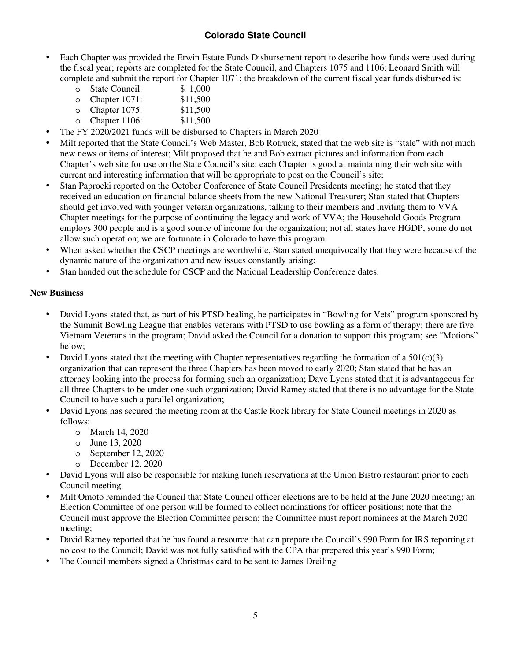- Each Chapter was provided the Erwin Estate Funds Disbursement report to describe how funds were used during the fiscal year; reports are completed for the State Council, and Chapters 1075 and 1106; Leonard Smith will complete and submit the report for Chapter 1071; the breakdown of the current fiscal year funds disbursed is:<br>  $\frac{1,000}{\sqrt{1-\frac{1}{1}}\sqrt{1-\frac{1}{1}}$ 
	- $\circ$  State Council:
	- o Chapter 1071: \$11,500
	- o Chapter 1075: \$11,500
	- o Chapter 1106: \$11,500
- The FY 2020/2021 funds will be disbursed to Chapters in March 2020
- Milt reported that the State Council's Web Master, Bob Rotruck, stated that the web site is "stale" with not much new news or items of interest; Milt proposed that he and Bob extract pictures and information from each Chapter's web site for use on the State Council's site; each Chapter is good at maintaining their web site with current and interesting information that will be appropriate to post on the Council's site;
- Stan Paprocki reported on the October Conference of State Council Presidents meeting; he stated that they received an education on financial balance sheets from the new National Treasurer; Stan stated that Chapters should get involved with younger veteran organizations, talking to their members and inviting them to VVA Chapter meetings for the purpose of continuing the legacy and work of VVA; the Household Goods Program employs 300 people and is a good source of income for the organization; not all states have HGDP, some do not allow such operation; we are fortunate in Colorado to have this program
- When asked whether the CSCP meetings are worthwhile, Stan stated unequivocally that they were because of the dynamic nature of the organization and new issues constantly arising;
- Stan handed out the schedule for CSCP and the National Leadership Conference dates.

### **New Business**

- David Lyons stated that, as part of his PTSD healing, he participates in "Bowling for Vets" program sponsored by the Summit Bowling League that enables veterans with PTSD to use bowling as a form of therapy; there are five Vietnam Veterans in the program; David asked the Council for a donation to support this program; see "Motions" below;
- David Lyons stated that the meeting with Chapter representatives regarding the formation of a  $501(c)(3)$ organization that can represent the three Chapters has been moved to early 2020; Stan stated that he has an attorney looking into the process for forming such an organization; Dave Lyons stated that it is advantageous for all three Chapters to be under one such organization; David Ramey stated that there is no advantage for the State Council to have such a parallel organization;
- David Lyons has secured the meeting room at the Castle Rock library for State Council meetings in 2020 as follows:
	- o March 14, 2020
	- o June 13, 2020
	- o September 12, 2020
	- o December 12. 2020
- David Lyons will also be responsible for making lunch reservations at the Union Bistro restaurant prior to each Council meeting
- Milt Omoto reminded the Council that State Council officer elections are to be held at the June 2020 meeting; an Election Committee of one person will be formed to collect nominations for officer positions; note that the Council must approve the Election Committee person; the Committee must report nominees at the March 2020 meeting;
- David Ramey reported that he has found a resource that can prepare the Council's 990 Form for IRS reporting at no cost to the Council; David was not fully satisfied with the CPA that prepared this year's 990 Form;
- The Council members signed a Christmas card to be sent to James Dreiling